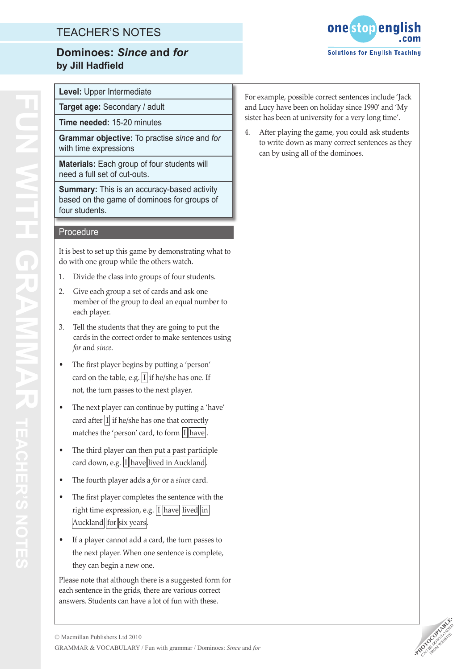## TEACHER'S NOTES

## **Dominoes:** *Since* **and** *for* **by Jill Hadfield**



**Level:** Upper Intermediate

**Target age:** Secondary / adult **Time needed:** 15-20 minutes

**Grammar objective:** To practise *since* and *for*  with time expressions

**Materials:** Each group of four students will need a full set of cut-outs.

**Summary:** This is an accuracy-based activity based on the game of dominoes for groups of four students.

#### **Procedure**

It is best to set up this game by demonstrating what to do with one group while the others watch.

- 1. Divide the class into groups of four students.
- 2. Give each group a set of cards and ask one member of the group to deal an equal number to each player.
- 3. Tell the students that they are going to put the cards in the correct order to make sentences using *for* and *since*.
- The first player begins by putting a 'person' card on the table, e.g.  $|I|$  if he/she has one. If not, the turn passes to the next player.
- The next player can continue by putting a 'have' card after  $|I|$  if he/she has one that correctly matches the 'person' card, to form  $|I|\text{have}|$ .
- The third player can then put a past participle card down, e.g. I have lived in Auckland
- The fourth player adds a *for* or a *since* card.
- The first player completes the sentence with the right time expression, e.g.  $\sqrt{I\left|\text{have}}\right|$  lived in Auckland for six years
- If a player cannot add a card, the turn passes to the next player. When one sentence is complete, they can begin a new one.

Please note that although there is a suggested form for each sentence in the grids, there are various correct answers. Students can have a lot of fun with these.

For example, possible correct sentences include 'Jack and Lucy have been on holiday since 1990' and 'My sister has been at university for a very long time'.

4. After playing the game, you could ask students to write down as many correct sentences as they can by using all of the dominoes.

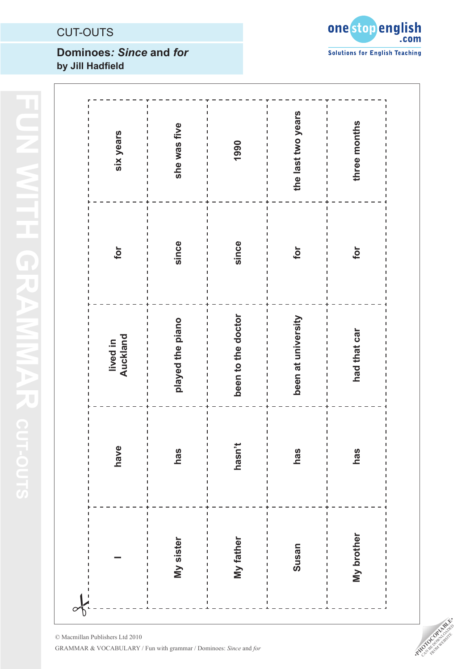## CUT-OUTS

## **Dominoes***: Since* **and** *for* **by Jill Hadfield**



| six years                                       | she was five                                         | 1990                     | the last two years<br>п<br>ı<br>ı<br>Ĭ. | three months |
|-------------------------------------------------|------------------------------------------------------|--------------------------|-----------------------------------------|--------------|
| for                                             | since<br>ı                                           | since                    | for                                     | for          |
| lived in<br>Auckland<br>Ţ<br>$\mathbf{I}$<br>J. | played the piano<br>ı<br>ı<br>I.<br>ı<br>I<br>ı<br>I | been to the doctor<br>Ĭ. | been at university<br>п<br>п<br>٠<br>ı  | had that car |
| have<br>I                                       | has                                                  | hasn't<br>ı              | has                                     | has          |
|                                                 | ı<br>My sister<br>т                                  | My father                | Susan<br>ı<br>ı                         | My brother   |